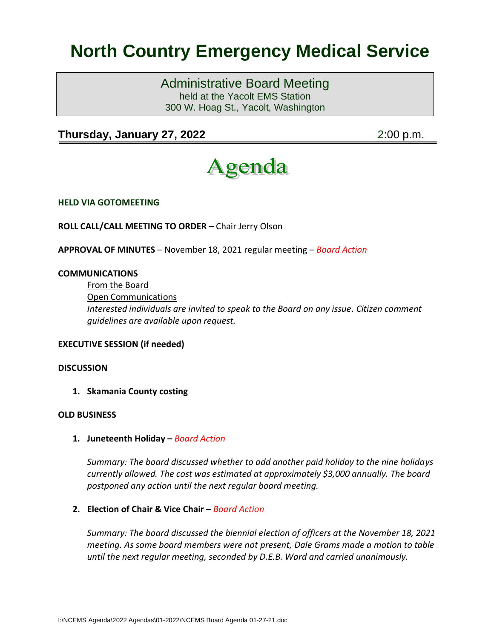# **North Country Emergency Medical Service**

Administrative Board Meeting held at the Yacolt EMS Station 300 W. Hoag St., Yacolt, Washington

# **Thursday, January 27, 2022** 2:00 p.m.



**HELD VIA GOTOMEETING**

**ROLL CALL/CALL MEETING TO ORDER –** Chair Jerry Olson

**APPROVAL OF MINUTES** – November 18, 2021 regular meeting – *Board Action*

#### **COMMUNICATIONS**

From the Board Open Communications *Interested individuals are invited to speak to the Board on any issue. Citizen comment guidelines are available upon request.*

# **EXECUTIVE SESSION (if needed)**

#### **DISCUSSION**

**1. Skamania County costing**

#### **OLD BUSINESS**

**1. Juneteenth Holiday –** *Board Action*

*Summary: The board discussed whether to add another paid holiday to the nine holidays currently allowed. The cost was estimated at approximately \$3,000 annually. The board postponed any action until the next regular board meeting.*

### **2. Election of Chair & Vice Chair –** *Board Action*

*Summary: The board discussed the biennial election of officers at the November 18, 2021 meeting. As some board members were not present, Dale Grams made a motion to table until the next regular meeting, seconded by D.E.B. Ward and carried unanimously.*